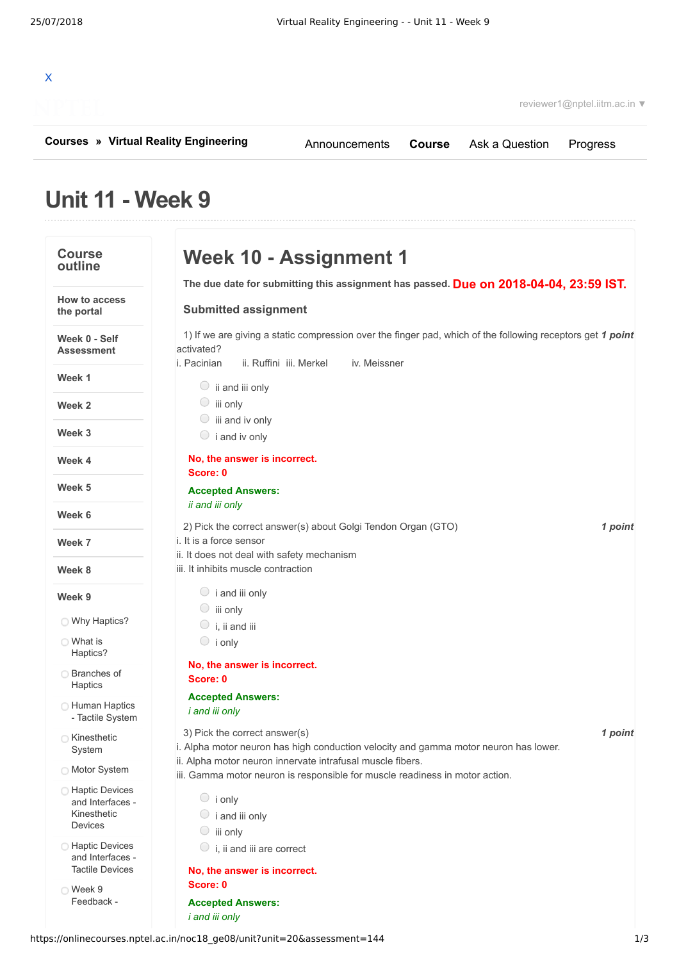## X

**[Courses](https://onlinecourses.nptel.ac.in/) » [Virtual Reality Engineering](https://onlinecourses.nptel.ac.in/noc18_ge08/course)**

[Announcements](https://onlinecourses.nptel.ac.in/noc18_ge08/announcements) **[Course](https://onlinecourses.nptel.ac.in/noc18_ge08/course)** [Ask a Question](https://onlinecourses.nptel.ac.in/noc18_ge08/forum) [Progress](https://onlinecourses.nptel.ac.in/noc18_ge08/student/home)

## **Unit 11 - Week 9**

| <b>Course</b><br>outline                                       | Week 10 - Assignment 1                                                                                                                                                             |
|----------------------------------------------------------------|------------------------------------------------------------------------------------------------------------------------------------------------------------------------------------|
|                                                                | The due date for submitting this assignment has passed. Due on 2018-04-04, 23:59 IST.                                                                                              |
| <b>How to access</b><br>the portal                             | <b>Submitted assignment</b>                                                                                                                                                        |
| Week 0 - Self<br><b>Assessment</b>                             | 1) If we are giving a static compression over the finger pad, which of the following receptors get 1 point<br>activated?<br>i. Pacinian<br>ii. Ruffini iii. Merkel<br>iv. Meissner |
| Week 1                                                         | $\circ$ ii and iii only                                                                                                                                                            |
| Week 2                                                         | $\circ$ iii only                                                                                                                                                                   |
| Week 3                                                         | $\circ$ iii and iv only<br>$\circ$ i and iv only                                                                                                                                   |
| Week 4                                                         | No, the answer is incorrect.<br>Score: 0                                                                                                                                           |
| Week 5                                                         | <b>Accepted Answers:</b><br>ii and iii only                                                                                                                                        |
| Week 6                                                         | 2) Pick the correct answer(s) about Golgi Tendon Organ (GTO)<br>1 point                                                                                                            |
| Week 7                                                         | i. It is a force sensor<br>ii. It does not deal with safety mechanism                                                                                                              |
| Week 8                                                         | iii. It inhibits muscle contraction                                                                                                                                                |
| Week 9                                                         | $\circ$ i and iii only                                                                                                                                                             |
| ◯ Why Haptics?                                                 | $\circ$ iii only<br>$\circ$ i, ii and iii                                                                                                                                          |
| ◯ What is<br>Haptics?                                          | $\circ$ i only                                                                                                                                                                     |
| ◯ Branches of                                                  | No, the answer is incorrect.                                                                                                                                                       |
| Haptics                                                        | Score: 0                                                                                                                                                                           |
| <b>C</b> Human Haptics<br>- Tactile System                     | <b>Accepted Answers:</b><br><i>i</i> and <i>iii</i> only                                                                                                                           |
| ◯ Kinesthetic<br>System                                        | 3) Pick the correct answer(s)<br>1 point<br>i. Alpha motor neuron has high conduction velocity and gamma motor neuron has lower.                                                   |
| ◯ Motor System                                                 | ii. Alpha motor neuron innervate intrafusal muscle fibers.<br>iii. Gamma motor neuron is responsible for muscle readiness in motor action.                                         |
| ◯ Haptic Devices<br>and Interfaces -<br>Kinesthetic<br>Devices | $\circ$ i only<br>$\circ$ i and iii only<br>$\circ$ iii only                                                                                                                       |
| <b>Haptic Devices</b><br>and Interfaces -                      | $\circ$ i, ii and iii are correct                                                                                                                                                  |
| <b>Tactile Devices</b>                                         | No, the answer is incorrect.                                                                                                                                                       |
| ◯ Week 9                                                       | Score: 0                                                                                                                                                                           |
| Feedback -                                                     | <b>Accepted Answers:</b><br><i>i</i> and <i>iii</i> only                                                                                                                           |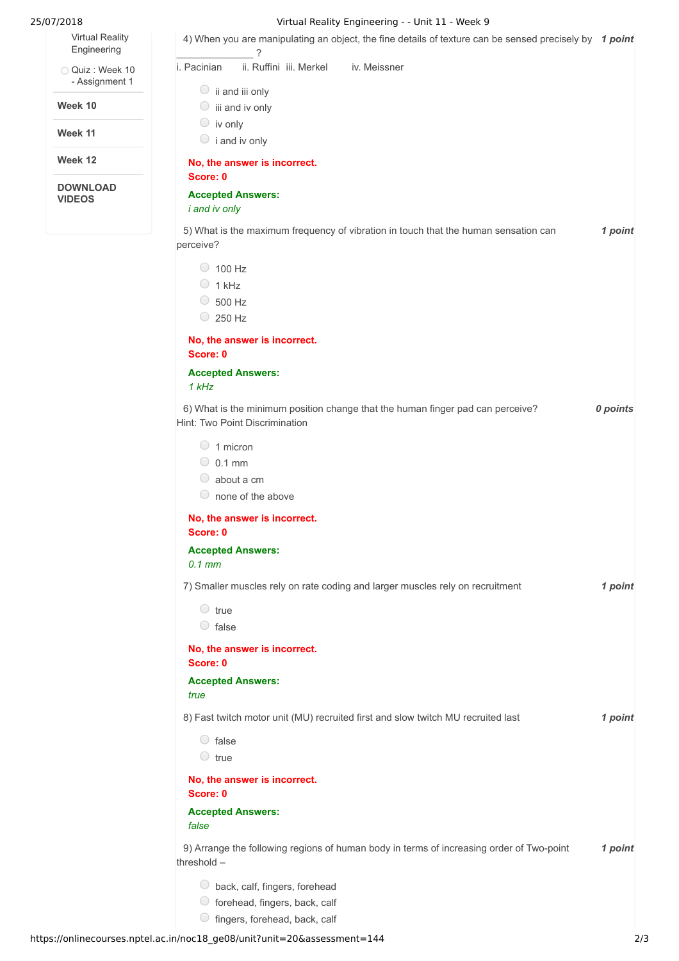Virtual Reality [Engineering](https://onlinecourses.nptel.ac.in/noc18_ge08/unit?unit=20&lesson=143)

Quiz : Week 10 - [Assignment](https://onlinecourses.nptel.ac.in/noc18_ge08/assessment?name=144) 1

**Week 10**

**Week 11**

**Week 12**

**DOWNLOAD VIDEOS**

## 25/07/2018 Virtual Reality Engineering - - Unit 11 - Week 9

| ii. Ruffini iii. Merkel<br>iv. Meissner<br>i. Pacinian                                                           |          |
|------------------------------------------------------------------------------------------------------------------|----------|
| $\circ$ ii and iii only                                                                                          |          |
| $\circ$ iii and iv only                                                                                          |          |
| $\circ$ iv only                                                                                                  |          |
| $\circ$ i and iv only                                                                                            |          |
| No, the answer is incorrect.                                                                                     |          |
| Score: 0                                                                                                         |          |
| <b>Accepted Answers:</b><br>i and iv only                                                                        |          |
| 5) What is the maximum frequency of vibration in touch that the human sensation can<br>perceive?                 | 1 point  |
| $\circ$ 100 Hz                                                                                                   |          |
| $\bigcirc$<br>1 kHz                                                                                              |          |
| $\circ$ 500 Hz                                                                                                   |          |
| $\circ$ 250 Hz                                                                                                   |          |
| No, the answer is incorrect.<br>Score: 0                                                                         |          |
| <b>Accepted Answers:</b><br>1 kHz                                                                                |          |
| 6) What is the minimum position change that the human finger pad can perceive?<br>Hint: Two Point Discrimination | 0 points |
| $\bigcirc$<br>1 micron                                                                                           |          |
| $\circ$ 0.1 mm                                                                                                   |          |
| about a cm<br>$\cup$                                                                                             |          |
| none of the above<br>$\cup$                                                                                      |          |
| No, the answer is incorrect.<br>Score: 0                                                                         |          |
| <b>Accepted Answers:</b><br>$0.1$ mm                                                                             |          |
| 7) Smaller muscles rely on rate coding and larger muscles rely on recruitment                                    | 1 point  |
| $\circ$ true                                                                                                     |          |
| $\circ$ false                                                                                                    |          |
| No, the answer is incorrect.<br>Score: 0                                                                         |          |
| <b>Accepted Answers:</b><br>true                                                                                 |          |
| 8) Fast twitch motor unit (MU) recruited first and slow twitch MU recruited last                                 | 1 point  |
| $\circ$ false                                                                                                    |          |
| $\circ$ true                                                                                                     |          |
| No, the answer is incorrect.<br>Score: 0                                                                         |          |
| <b>Accepted Answers:</b><br>false                                                                                |          |
| 9) Arrange the following regions of human body in terms of increasing order of Two-point<br>threshold $-$        | 1 point  |
| back, calf, fingers, forehead<br>○ forehead, fingers, back, calf                                                 |          |

 $\circ$  fingers, forehead, back, calf